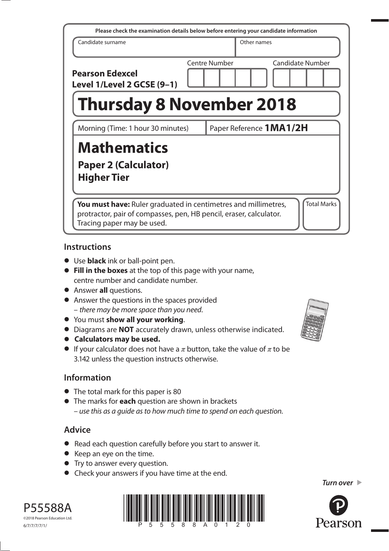| Please check the examination details below before entering your candidate information                                                                              |               |                         |                         |                    |  |  |
|--------------------------------------------------------------------------------------------------------------------------------------------------------------------|---------------|-------------------------|-------------------------|--------------------|--|--|
| Candidate surname                                                                                                                                                  |               |                         | Other names             |                    |  |  |
| <b>Pearson Edexcel</b><br>Level 1/Level 2 GCSE (9-1)                                                                                                               | Centre Number |                         | <b>Candidate Number</b> |                    |  |  |
| <b>Thursday 8 November 2018</b>                                                                                                                                    |               |                         |                         |                    |  |  |
| Morning (Time: 1 hour 30 minutes)                                                                                                                                  |               | Paper Reference 1MA1/2H |                         |                    |  |  |
| <b>Mathematics</b><br><b>Paper 2 (Calculator)</b><br><b>Higher Tier</b>                                                                                            |               |                         |                         |                    |  |  |
| You must have: Ruler graduated in centimetres and millimetres,<br>protractor, pair of compasses, pen, HB pencil, eraser, calculator.<br>Tracing paper may be used. |               |                         |                         | <b>Total Marks</b> |  |  |

# **Instructions**

- **•** Use **black** ink or ball-point pen.
- **• Fill in the boxes** at the top of this page with your name, centre number and candidate number.
- **•** Answer **all** questions.
- **•** Answer the questions in the spaces provided – there may be more space than you need.
- **•** You must **show all your working**.
- **•** Diagrams are **NOT** accurately drawn, unless otherwise indicated.
- **• Calculators may be used.**
- If your calculator does not have a  $\pi$  button, take the value of  $\pi$  to be 3.142 unless the question instructs otherwise.

# **Information**

- **•** The total mark for this paper is 80
- **•** The marks for **each** question are shown in brackets – use this as a guide as to how much time to spend on each question.

# **Advice**

- **•** Read each question carefully before you start to answer it.
- **•** Keep an eye on the time.
- **•** Try to answer every question.
- **•** Check your answers if you have time at the end.





*Turn over* 

P55588A ©2018 Pearson Education Ltd. 6/7/7/7/7/1/



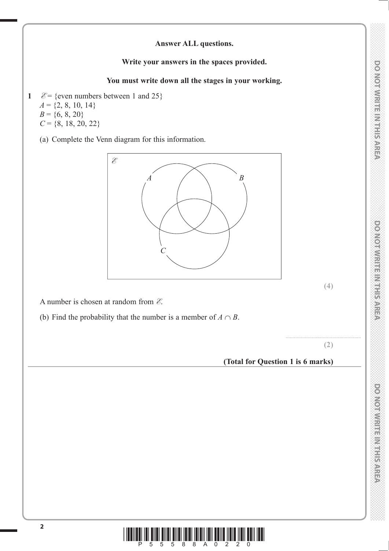# DO NOTWRITE IN THE AREA

# **Answer ALL questions.**

### **Write your answers in the spaces provided.**

### **You must write down all the stages in your working.**

- 1  $\mathcal{E} = \{$ even numbers between 1 and 25 $\}$  $A = \{2, 8, 10, 14\}$  $B = \{6, 8, 20\}$ 
	- $C = \{8, 18, 20, 22\}$

(a) Complete the Venn diagram for this information.



**(4)**

A number is chosen at random from **E**.

(b) Find the probability that the number is a member of  $A \cap B$ .

**(2)**

.......................................................

### **(Total for Question 1 is 6 marks)**

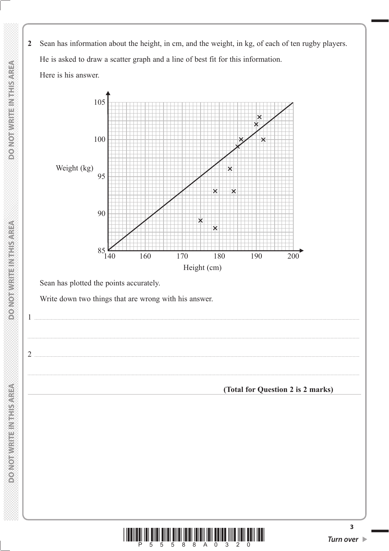Sean has information about the height, in cm, and the weight, in kg, of each of ten rugby players.  $\overline{2}$ He is asked to draw a scatter graph and a line of best fit for this information. Here is his answer.



Sean has plotted the points accurately.

Write down two things that are wrong with his answer.

 $\mathbf{1}$ 

 $2$ .

**DOMOT WRITEN RHS AREA** 

**DONOTWRITEINTHISMREA** 



(Total for Question 2 is 2 marks)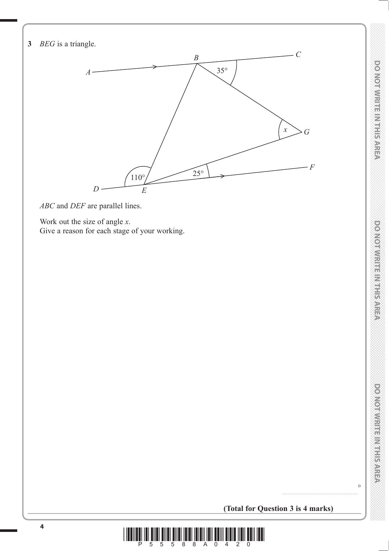

*ABC* and *DEF* are parallel lines.

 Work out the size of angle *x*. Give a reason for each stage of your working.

**DOMOTWRITEINISHER** 

 $\circ$ 

**(Total for Question 3 is 4 marks)**

.......................................................

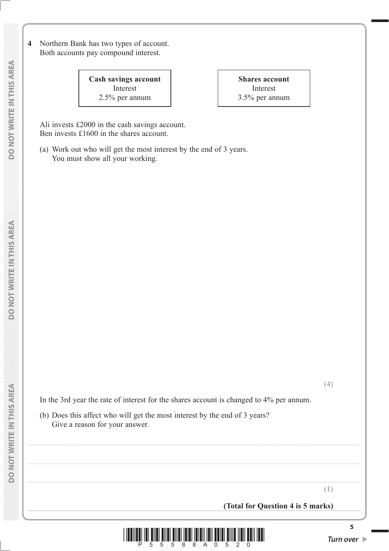**4** Northern Bank has two types of account. Both accounts pay compound interest.

> **Cash savings account** Interest 2.5% per annum

**Shares account** Interest 3.5% per annum

 Ali invests £2000 in the cash savings account. Ben invests £1600 in the shares account.

 (a) Work out who will get the most interest by the end of 3 years. You must show all your working.

In the 3rd year the rate of interest for the shares account is changed to 4% per annum.

 (b) Does this affect who will get the most interest by the end of 3 years? Give a reason for your answer.

**(Total for Question 4 is 5 marks)**



..................................................................................................................................................................................................................................................

..................................................................................................................................................................................................................................................

..................................................................................................................................................................................................................................................

**5**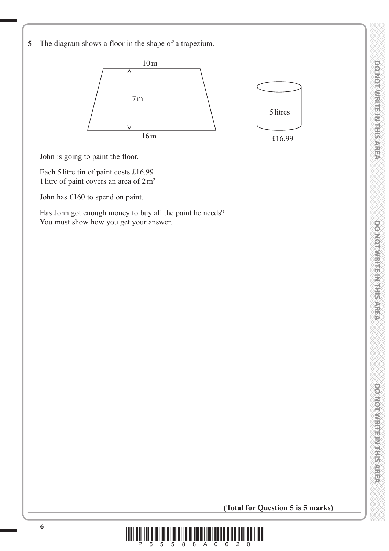DO NOTWRITE IN THE AREA



John is going to paint the floor.

 Each 5 litre tin of paint costs £16.99 1 litre of paint covers an area of  $2 m<sup>2</sup>$ 

John has £160 to spend on paint.

 Has John got enough money to buy all the paint he needs? You must show how you get your answer.

**(Total for Question 5 is 5 marks)**

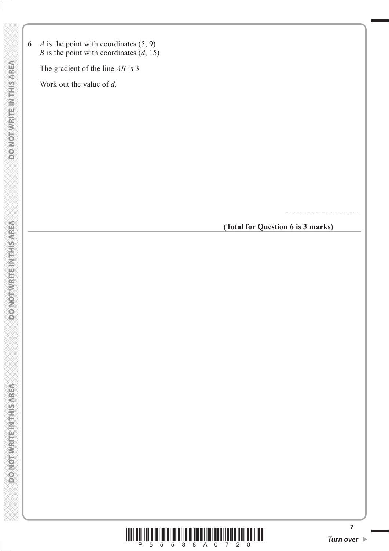**6** *A* is the point with coordinates  $(5, 9)$ *B* is the point with coordinates (*d*, 15)

The gradient of the line *AB* is 3

Work out the value of *d*.

**(Total for Question 6 is 3 marks)**

.......................................................



**7**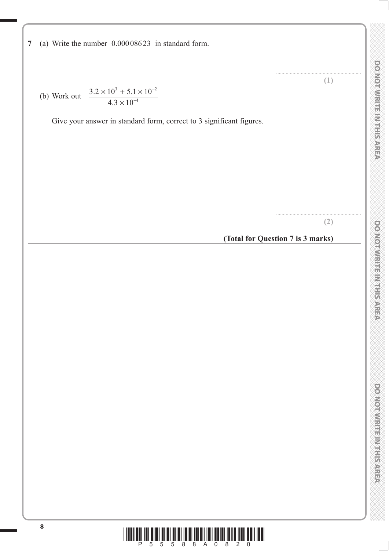**DOMOTWRITEINISHER** 

**7** (a) Write the number 0.000 086 23 in standard form.

(b) Work out 
$$
\frac{3.2 \times 10^3 + 5.1 \times 10^{-2}}{4.3 \times 10^{-4}}
$$

Give your answer in standard form, correct to 3 significant figures.

**(2)**

..............................................................

.............................................................. **(1)**

# **(Total for Question 7 is 3 marks)**

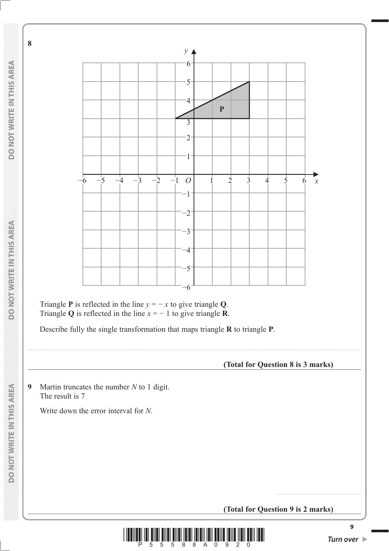

**8** 



Triangle **P** is reflected in the line  $y = -x$  to give triangle **Q**. Triangle **Q** is reflected in the line  $x = -1$  to give triangle **R**.

Describe fully the single transformation that maps triangle **R** to triangle **P**.

**(Total for Question 8 is 3 marks)**

**9** Martin truncates the number *N* to 1 digit. The result is 7

Write down the error interval for *N*.

**(Total for Question 9 is 2 marks)**



..................................................................................................................................................................................................................................................

..............................................................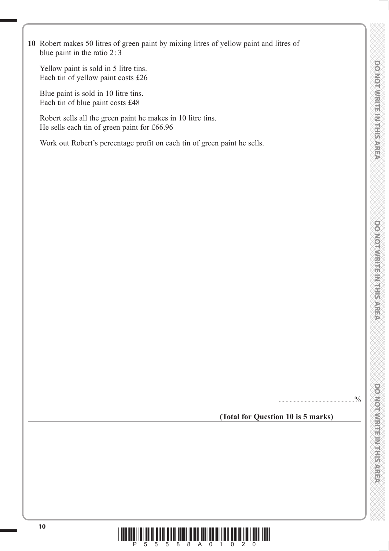**10** Robert makes 50 litres of green paint by mixing litres of yellow paint and litres of blue paint in the ratio 2:3

 Yellow paint is sold in 5 litre tins. Each tin of yellow paint costs £26

 Blue paint is sold in 10 litre tins. Each tin of blue paint costs £48

 Robert sells all the green paint he makes in 10 litre tins. He sells each tin of green paint for £66.96

Work out Robert's percentage profit on each tin of green paint he sells.

**(Total for Question 10 is 5 marks)**

.......................................................%

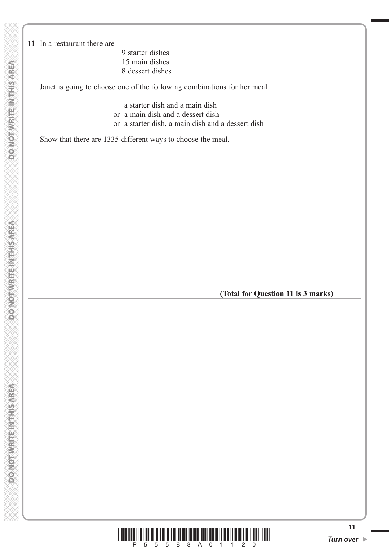**11** In a restaurant there are

 9 starter dishes 15 main dishes 8 dessert dishes

Janet is going to choose one of the following combinations for her meal.

a starter dish and a main dish

- or a main dish and a dessert dish
- or a starter dish, a main dish and a dessert dish

Show that there are 1335 different ways to choose the meal.

**(Total for Question 11 is 3 marks)**

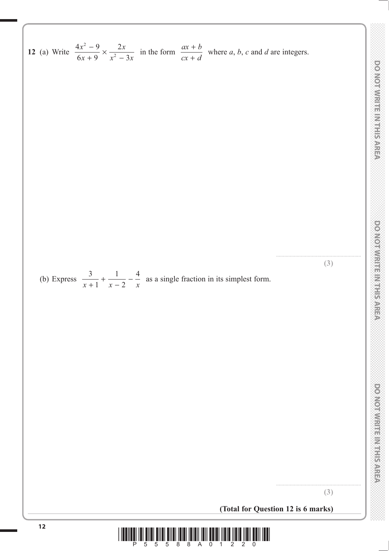**<sup>12</sup>** (a) Write 4 9 2 <sup>×</sup> <sup>−</sup> in the form *ax b* 2 *x* − *x* + where *a*, *b*, *c* and *d* are integers. 6 9 2 3 *cx d x x x* + + .............................................................. **(3)** (b) Express <sup>3</sup> 1 4 <sup>+</sup> <sup>−</sup> <sup>−</sup> as a single fraction in its simplest form. 1 2 *xx x* + .............................................................. **(3) (Total for Question 12 is 6 marks)<sup>12</sup>** \*P55588A01220\*

**DOWOITHER MEETINGS** 

 **DO NOT WRITE IN THE IN THIS AREA DO NOT WRITE IN THIS AREA DO NOT WRITE IN THIS AREA DO NOT WRITE IN THIS AREA DO NOT WRITE IN THE INTERNATIONAL CONTINUES. THE INTERNATIONAL CONTINUES. DOO NOT WRITE IN THIS AREA**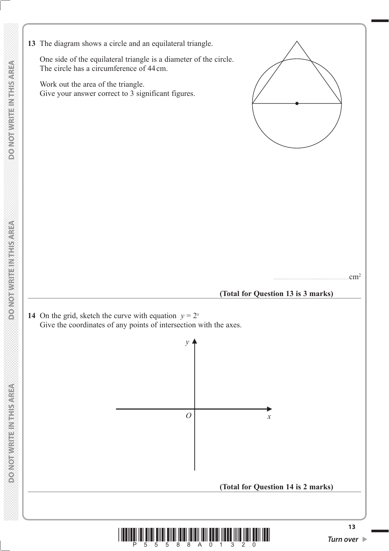**13** The diagram shows a circle and an equilateral triangle.

 One side of the equilateral triangle is a diameter of the circle. The circle has a circumference of 44 cm.

 Work out the area of the triangle. Give your answer correct to 3 significant figures.



.......................................................cm2

### **(Total for Question 13 is 3 marks)**

*x*

**(Total for Question 14 is 2 marks)**

**14** On the grid, sketch the curve with equation  $y = 2^x$ Give the coordinates of any points of intersection with the axes.

**DONOT WRITE IN THIS AREA** 

**DO NOT WRITE INTHIS AREA** 



*O*

*y*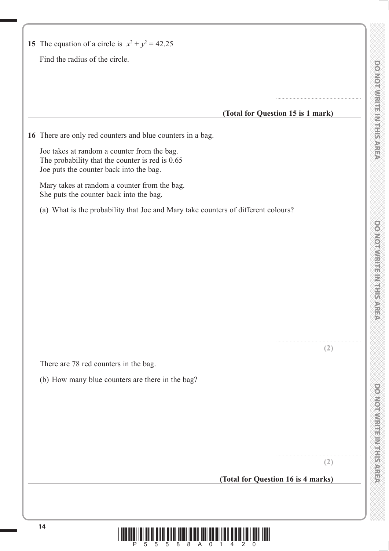$\overline{\phantom{0}}$ 

| 15 The equation of a circle is $x^2 + y^2 = 42.25$                                                                                        |                                    |
|-------------------------------------------------------------------------------------------------------------------------------------------|------------------------------------|
| Find the radius of the circle.                                                                                                            |                                    |
|                                                                                                                                           |                                    |
|                                                                                                                                           | (Total for Question 15 is 1 mark)  |
|                                                                                                                                           |                                    |
| 16 There are only red counters and blue counters in a bag.                                                                                |                                    |
| Joe takes at random a counter from the bag.<br>The probability that the counter is red is 0.65<br>Joe puts the counter back into the bag. |                                    |
| Mary takes at random a counter from the bag.<br>She puts the counter back into the bag.                                                   |                                    |
| (a) What is the probability that Joe and Mary take counters of different colours?                                                         |                                    |
|                                                                                                                                           |                                    |
|                                                                                                                                           |                                    |
|                                                                                                                                           |                                    |
|                                                                                                                                           |                                    |
|                                                                                                                                           |                                    |
|                                                                                                                                           |                                    |
|                                                                                                                                           |                                    |
|                                                                                                                                           |                                    |
|                                                                                                                                           |                                    |
|                                                                                                                                           | (2)                                |
| There are 78 red counters in the bag.                                                                                                     |                                    |
| (b) How many blue counters are there in the bag?                                                                                          |                                    |
|                                                                                                                                           |                                    |
|                                                                                                                                           |                                    |
|                                                                                                                                           |                                    |
|                                                                                                                                           |                                    |
|                                                                                                                                           | (2)                                |
|                                                                                                                                           | (Total for Question 16 is 4 marks) |
|                                                                                                                                           |                                    |

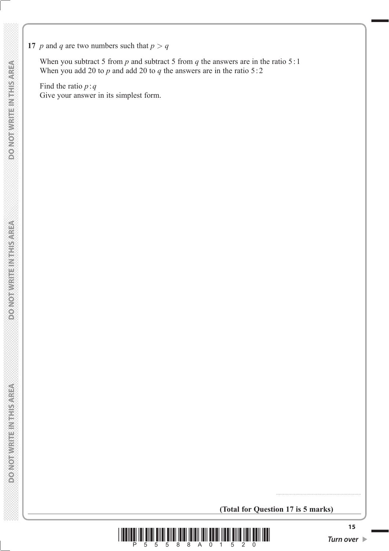**17** *p* and *q* are two numbers such that  $p > q$ 

When you subtract 5 from *p* and subtract 5 from *q* the answers are in the ratio 5:1 When you add 20 to  $p$  and add 20 to  $q$  the answers are in the ratio 5:2

 Find the ratio *p* : *q* Give your answer in its simplest form.

**(Total for Question 17 is 5 marks)**



..............................................................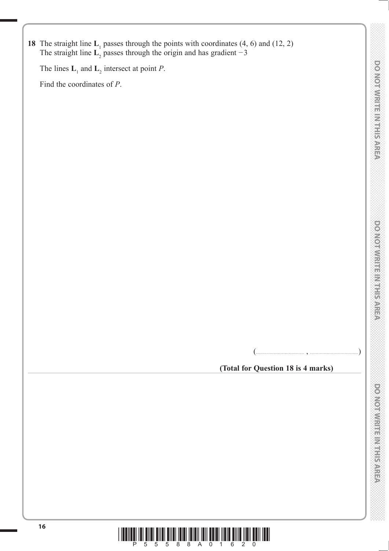**18** The straight line  $L_1$  passes through the points with coordinates (4, 6) and (12, 2) The straight line  $L_2$  passes through the origin and has gradient  $-3$ 

The lines  $\mathbf{L}_1$  and  $\mathbf{L}_2$  intersect at point *P*.

Find the coordinates of *P*.

(................................... , ...................................)

**(Total for Question 18 is 4 marks)**

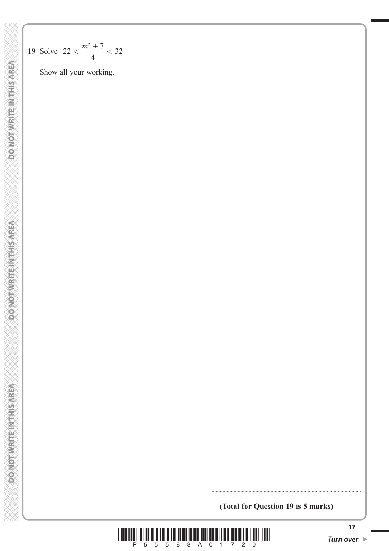**DO NOT WRITE IN THIS AREA DO NOT WRITE IN THIS AREA DO NOT WRITE IN THIS AREA**

19 Solve 
$$
22 < \frac{m^2 + 7}{4} < 32
$$

Show all your working.

**(Total for Question 19 is 5 marks)**

.............................................................................................................

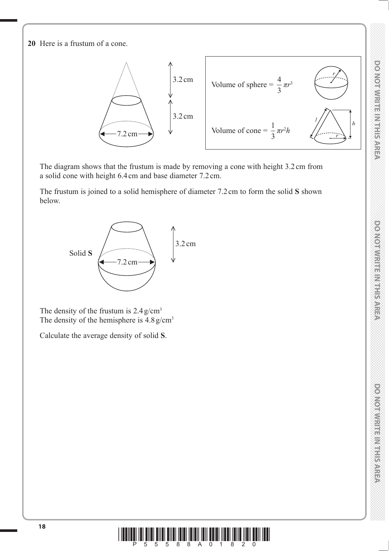**DOMORWHEEL HEISPIERA** 

DO NOTWRITE IN THIS AREA

**20** Here is a frustum of a cone.



 The diagram shows that the frustum is made by removing a cone with height 3.2 cm from a solid cone with height 6.4 cm and base diameter 7.2 cm.

 The frustum is joined to a solid hemisphere of diameter 7.2 cm to form the solid **S** shown below.



The density of the frustum is  $2.4 \text{ g/cm}^3$ The density of the hemisphere is  $4.8 \text{ g/cm}^3$ 

Calculate the average density of solid **S**.

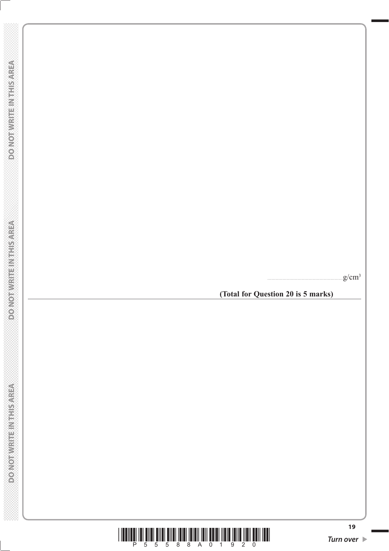.......................................................g/cm 3

**(Total for Question 20 is 5 marks)**